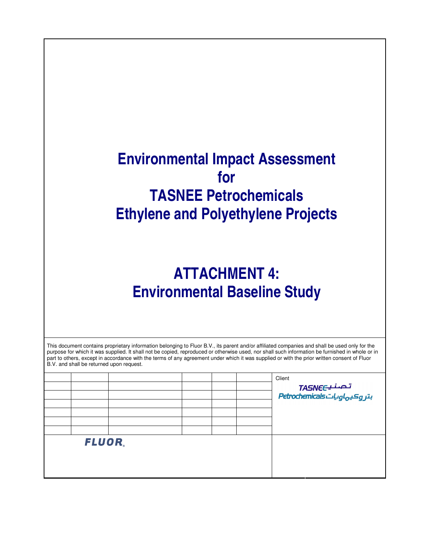# **Environmental Impact Assessment for TASNEE Petrochemicals Ethylene and Polyethylene Projects**

# **ATTACHMENT 4: Environmental Baseline Study**

| This document contains proprietary information belonging to Fluor B.V., its parent and/or affiliated companies and shall be used only for the<br>purpose for which it was supplied. It shall not be copied, reproduced or otherwise used, nor shall such information be furnished in whole or in<br>part to others, except in accordance with the terms of any agreement under which it was supplied or with the prior written consent of Fluor<br>B.V. and shall be returned upon request. |  |  |  |  |  |        |
|---------------------------------------------------------------------------------------------------------------------------------------------------------------------------------------------------------------------------------------------------------------------------------------------------------------------------------------------------------------------------------------------------------------------------------------------------------------------------------------------|--|--|--|--|--|--------|
|                                                                                                                                                                                                                                                                                                                                                                                                                                                                                             |  |  |  |  |  | Client |

|              |  |  |  | Client<br>تـصـنـيــTASNE<br>بتروكيهاوياتBetrochemicals |
|--------------|--|--|--|--------------------------------------------------------|
| <b>FLUOR</b> |  |  |  |                                                        |
|              |  |  |  |                                                        |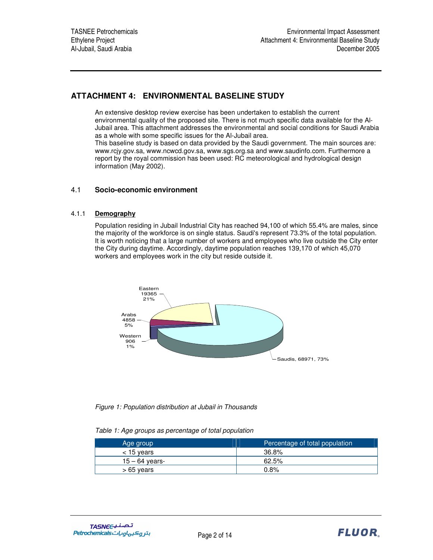## **ATTACHMENT 4: ENVIRONMENTAL BASELINE STUDY**

An extensive desktop review exercise has been undertaken to establish the current environmental quality of the proposed site. There is not much specific data available for the Al-Jubail area. This attachment addresses the environmental and social conditions for Saudi Arabia as a whole with some specific issues for the Al-Jubail area.

This baseline study is based on data provided by the Saudi government. The main sources are: www.rcjy.gov.sa, www.ncwcd.gov.sa, www.sgs.org.sa and www.saudinfo.com. Furthermore a report by the royal commission has been used: RC meteorological and hydrological design information (May 2002).

## 4.1 **Socio-economic environment**

## 4.1.1 **Demography**

Population residing in Jubail Industrial City has reached 94,100 of which 55.4% are males, since the majority of the workforce is on single status. Saudi's represent 73.3% of the total population. It is worth noticing that a large number of workers and employees who live outside the City enter the City during daytime. Accordingly, daytime population reaches 139,170 of which 45,070 workers and employees work in the city but reside outside it.



*Figure 1: Population distribution at Jubail in Thousands*

| Age group        | Percentage of total population |
|------------------|--------------------------------|
| $<$ 15 years     | 36.8%                          |
| $15 - 64$ years- | 62.5%                          |
| $>65$ years      | 0.8%                           |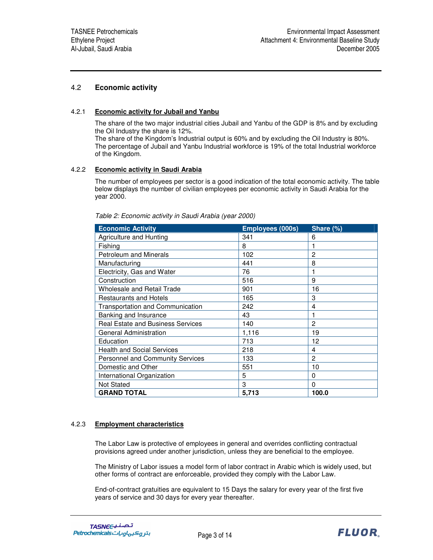## 4.2 **Economic activity**

#### 4.2.1 **Economic activity for Jubail and Yanbu**

The share of the two major industrial cities Jubail and Yanbu of the GDP is 8% and by excluding the Oil Industry the share is 12%.

The share of the Kingdom's Industrial output is 60% and by excluding the Oil Industry is 80%. The percentage of Jubail and Yanbu Industrial workforce is 19% of the total Industrial workforce of the Kingdom.

#### 4.2.2 **Economic activity in Saudi Arabia**

The number of employees per sector is a good indication of the total economic activity. The table below displays the number of civilian employees per economic activity in Saudi Arabia for the year 2000.

| <b>Economic Activity</b>                 | Employees (000s) | Share (%)      |
|------------------------------------------|------------------|----------------|
| Agriculture and Hunting                  | 341              | 6              |
| Fishing                                  | 8                |                |
| <b>Petroleum and Minerals</b>            | 102              | 2              |
| Manufacturing                            | 441              | 8              |
| Electricity, Gas and Water               | 76               |                |
| Construction                             | 516              | 9              |
| <b>Wholesale and Retail Trade</b>        | 901              | 16             |
| <b>Restaurants and Hotels</b>            | 165              | 3              |
| Transportation and Communication         | 242              | 4              |
| Banking and Insurance                    | 43               |                |
| <b>Real Estate and Business Services</b> | 140              | 2              |
| General Administration                   | 1,116            | 19             |
| Education                                | 713              | 12             |
| <b>Health and Social Services</b>        | 218              | 4              |
| <b>Personnel and Community Services</b>  | 133              | $\overline{2}$ |
| Domestic and Other                       | 551              | 10             |
| International Organization               | 5                | 0              |
| <b>Not Stated</b>                        | 3                | 0              |
| <b>GRAND TOTAL</b>                       | 5,713            | 100.0          |

*Table 2: Economic activity in Saudi Arabia (year 2000)*

## 4.2.3 **Employment characteristics**

The Labor Law is protective of employees in general and overrides conflicting contractual provisions agreed under another jurisdiction, unless they are beneficial to the employee.

The Ministry of Labor issues a model form of labor contract in Arabic which is widely used, but other forms of contract are enforceable, provided they comply with the Labor Law.

End-of-contract gratuities are equivalent to 15 Days the salary for every year of the first five years of service and 30 days for every year thereafter.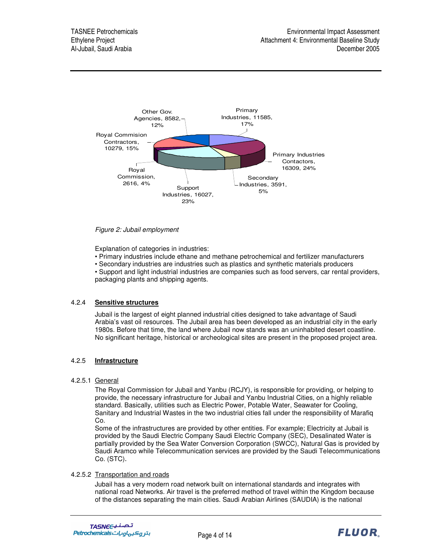

## *Figure 2: Jubail employment*

Explanation of categories in industries:

• Primary industries include ethane and methane petrochemical and fertilizer manufacturers

• Secondary industries are industries such as plastics and synthetic materials producers

• Support and light industrial industries are companies such as food servers, car rental providers, packaging plants and shipping agents.

#### 4.2.4 **Sensitive structures**

Jubail is the largest of eight planned industrial cities designed to take advantage of Saudi Arabia's vast oil resources. The Jubail area has been developed as an industrial city in the early 1980s. Before that time, the land where Jubail now stands was an uninhabited desert coastline. No significant heritage, historical or archeological sites are present in the proposed project area.

## 4.2.5 **Infrastructure**

#### 4.2.5.1 General

The Royal Commission for Jubail and Yanbu (RCJY), is responsible for providing, or helping to provide, the necessary infrastructure for Jubail and Yanbu Industrial Cities, on a highly reliable standard. Basically, utilities such as Electric Power, Potable Water, Seawater for Cooling, Sanitary and Industrial Wastes in the two industrial cities fall under the responsibility of Marafiq Co.

Some of the infrastructures are provided by other entities. For example; Electricity at Jubail is provided by the Saudi Electric Company Saudi Electric Company (SEC), Desalinated Water is partially provided by the Sea Water Conversion Corporation (SWCC), Natural Gas is provided by Saudi Aramco while Telecommunication services are provided by the Saudi Telecommunications Co. (STC)

## 4.2.5.2 Transportation and roads

Jubail has a very modern road network built on international standards and integrates with national road Networks. Air travel is the preferred method of travel within the Kingdom because of the distances separating the main cities. Saudi Arabian Airlines (SAUDIA) is the national

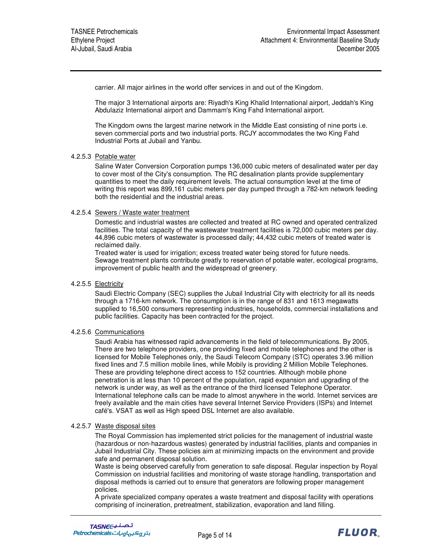carrier. All major airlines in the world offer services in and out of the Kingdom.

The major 3 International airports are: Riyadh's King Khalid International airport, Jeddah's King Abdulaziz International airport and Dammam's King Fahd International airport.

The Kingdom owns the largest marine network in the Middle East consisting of nine ports i.e. seven commercial ports and two industrial ports. RCJY accommodates the two King Fahd Industrial Ports at Jubail and Yanbu.

#### 4.2.5.3 Potable water

Saline Water Conversion Corporation pumps 136,000 cubic meters of desalinated water per day to cover most of the City's consumption. The RC desalination plants provide supplementary quantities to meet the daily requirement levels. The actual consumption level at the time of writing this report was 899,161 cubic meters per day pumped through a 782-km network feeding both the residential and the industrial areas.

#### 4.2.5.4 Sewers / Waste water treatment

Domestic and industrial wastes are collected and treated at RC owned and operated centralized facilities. The total capacity of the wastewater treatment facilities is 72,000 cubic meters per day. 44,896 cubic meters of wastewater is processed daily; 44,432 cubic meters of treated water is reclaimed daily.

Treated water is used for irrigation; excess treated water being stored for future needs. Sewage treatment plants contribute greatly to reservation of potable water, ecological programs, improvement of public health and the widespread of greenery.

#### 4.2.5.5 Electricity

Saudi Electric Company (SEC) supplies the Jubail Industrial City with electricity for all its needs through a 1716-km network. The consumption is in the range of 831 and 1613 megawatts supplied to 16,500 consumers representing industries, households, commercial installations and public facilities. Capacity has been contracted for the project.

#### 4.2.5.6 Communications

Saudi Arabia has witnessed rapid advancements in the field of telecommunications. By 2005, There are two telephone providers, one providing fixed and mobile telephones and the other is licensed for Mobile Telephones only, the Saudi Telecom Company (STC) operates 3.96 million fixed lines and 7.5 million mobile lines, while Mobily is providing 2 Million Mobile Telephones. These are providing telephone direct access to 152 countries. Although mobile phone penetration is at less than 10 percent of the population, rapid expansion and upgrading of the network is under way, as well as the entrance of the third licensed Telephone Operator. International telephone calls can be made to almost anywhere in the world. Internet services are freely available and the main cities have several Internet Service Providers (ISPs) and Internet café's. VSAT as well as High speed DSL Internet are also available.

#### 4.2.5.7 Waste disposal sites

The Royal Commission has implemented strict policies for the management of industrial waste (hazardous or non-hazardous wastes) generated by industrial facilities, plants and companies in Jubail Industrial City. These policies aim at minimizing impacts on the environment and provide safe and permanent disposal solution.

Waste is being observed carefully from generation to safe disposal. Regular inspection by Royal Commission on industrial facilities and monitoring of waste storage handling, transportation and disposal methods is carried out to ensure that generators are following proper management policies.

A private specialized company operates a waste treatment and disposal facility with operations comprising of incineration, pretreatment, stabilization, evaporation and land filling.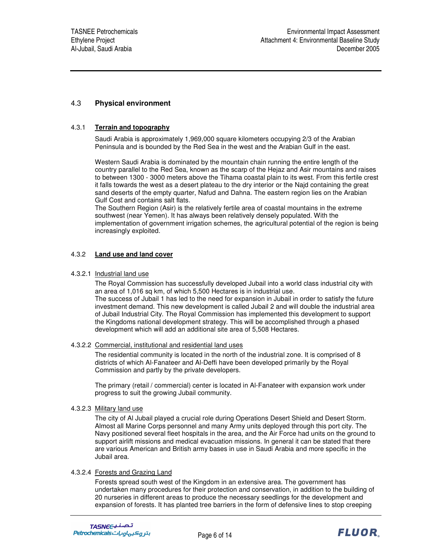## 4.3 **Physical environment**

## 4.3.1 **Terrain and topography**

Saudi Arabia is approximately 1,969,000 square kilometers occupying 2/3 of the Arabian Peninsula and is bounded by the Red Sea in the west and the Arabian Gulf in the east.

Western Saudi Arabia is dominated by the mountain chain running the entire length of the country parallel to the Red Sea, known as the scarp of the Hejaz and Asir mountains and raises to between 1300 - 3000 meters above the Tihama coastal plain to its west. From this fertile crest it falls towards the west as a desert plateau to the dry interior or the Najd containing the great sand deserts of the empty quarter, Nafud and Dahna. The eastern region lies on the Arabian Gulf Cost and contains salt flats.

The Southern Region (Asir) is the relatively fertile area of coastal mountains in the extreme southwest (near Yemen). It has always been relatively densely populated. With the implementation of government irrigation schemes, the agricultural potential of the region is being increasingly exploited.

## 4.3.2 **Land use and land cover**

#### 4.3.2.1 Industrial land use

The Royal Commission has successfully developed Jubail into a world class industrial city with an area of 1,016 sq km, of which 5,500 Hectares is in industrial use. The success of Jubail 1 has led to the need for expansion in Jubail in order to satisfy the future investment demand. This new development is called Jubail 2 and will double the industrial area of Jubail Industrial City. The Royal Commission has implemented this development to support the Kingdoms national development strategy. This will be accomplished through a phased development which will add an additional site area of 5,508 Hectares.

#### 4.3.2.2 Commercial, institutional and residential land uses

The residential community is located in the north of the industrial zone. It is comprised of 8 districts of which Al-Fanateer and Al-Deffi have been developed primarily by the Royal Commission and partly by the private developers.

The primary (retail / commercial) center is located in Al-Fanateer with expansion work under progress to suit the growing Jubail community.

#### 4.3.2.3 Military land use

The city of Al Jubail played a crucial role during Operations Desert Shield and Desert Storm. Almost all Marine Corps personnel and many Army units deployed through this port city. The Navy positioned several fleet hospitals in the area, and the Air Force had units on the ground to support airlift missions and medical evacuation missions. In general it can be stated that there are various American and British army bases in use in Saudi Arabia and more specific in the Jubail area.

#### 4.3.2.4 Forests and Grazing Land

Forests spread south west of the Kingdom in an extensive area. The government has undertaken many procedures for their protection and conservation, in addition to the building of 20 nurseries in different areas to produce the necessary seedlings for the development and expansion of forests. It has planted tree barriers in the form of defensive lines to stop creeping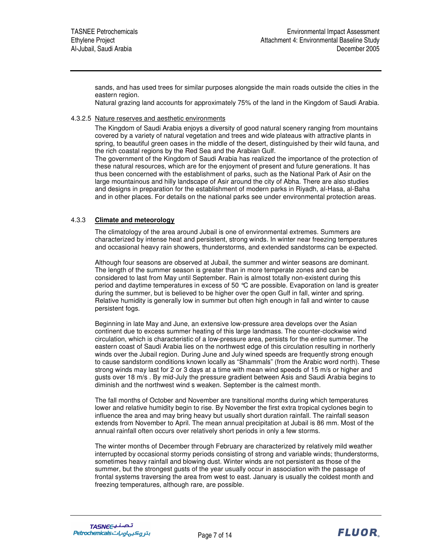sands, and has used trees for similar purposes alongside the main roads outside the cities in the eastern region.

Natural grazing land accounts for approximately 75% of the land in the Kingdom of Saudi Arabia.

4.3.2.5 Nature reserves and aesthetic environments

The Kingdom of Saudi Arabia enjoys a diversity of good natural scenery ranging from mountains covered by a variety of natural vegetation and trees and wide plateaus with attractive plants in spring, to beautiful green oases in the middle of the desert, distinguished by their wild fauna, and the rich coastal regions by the Red Sea and the Arabian Gulf.

The government of the Kingdom of Saudi Arabia has realized the importance of the protection of these natural resources, which are for the enjoyment of present and future generations. It has thus been concerned with the establishment of parks, such as the National Park of Asir on the large mountainous and hilly landscape of Asir around the city of Abha. There are also studies and designs in preparation for the establishment of modern parks in Riyadh, al-Hasa, al-Baha and in other places. For details on the national parks see under environmental protection areas.

## 4.3.3 **Climate and meteorology**

The climatology of the area around Jubail is one of environmental extremes. Summers are characterized by intense heat and persistent, strong winds. In winter near freezing temperatures and occasional heavy rain showers, thunderstorms, and extended sandstorms can be expected.

Although four seasons are observed at Jubail, the summer and winter seasons are dominant. The length of the summer season is greater than in more temperate zones and can be considered to last from May until September. Rain is almost totally non-existent during this period and daytime temperatures in excess of 50 °C are possible. Evaporation on land is greater during the summer, but is believed to be higher over the open Gulf in fall, winter and spring. Relative humidity is generally low in summer but often high enough in fall and winter to cause persistent fogs.

Beginning in late May and June, an extensive low-pressure area develops over the Asian continent due to excess summer heating of this large landmass. The counter-clockwise wind circulation, which is characteristic of a low-pressure area, persists for the entire summer. The eastern coast of Saudi Arabia lies on the northwest edge of this circulation resulting in northerly winds over the Jubail region. During June and July wined speeds are frequently strong enough to cause sandstorm conditions known locally as "Shammals" (from the Arabic word north). These strong winds may last for 2 or 3 days at a time with mean wind speeds of 15 m/s or higher and gusts over 18 m/s . By mid-July the pressure gradient between Asis and Saudi Arabia begins to diminish and the northwest wind s weaken. September is the calmest month.

The fall months of October and November are transitional months during which temperatures lower and relative humidity begin to rise. By November the first extra tropical cyclones begin to influence the area and may bring heavy but usually short duration rainfall. The rainfall season extends from November to April. The mean annual precipitation at Jubail is 86 mm. Most of the annual rainfall often occurs over relatively short periods in only a few storms.

The winter months of December through February are characterized by relatively mild weather interrupted by occasional stormy periods consisting of strong and variable winds; thunderstorms, sometimes heavy rainfall and blowing dust. Winter winds are not persistent as those of the summer, but the strongest gusts of the year usually occur in association with the passage of frontal systems traversing the area from west to east. January is usually the coldest month and freezing temperatures, although rare, are possible.

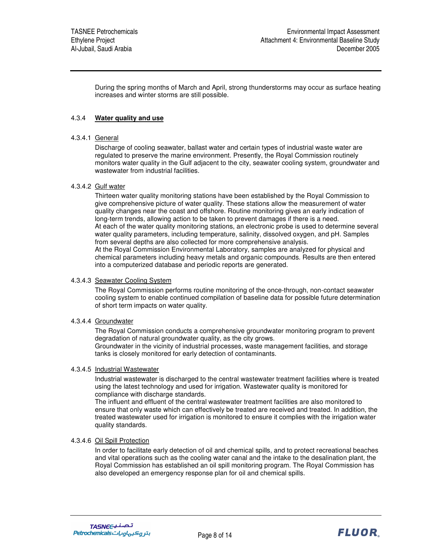During the spring months of March and April, strong thunderstorms may occur as surface heating increases and winter storms are still possible.

#### 4.3.4 **Water quality and use**

#### 4.3.4.1 General

Discharge of cooling seawater, ballast water and certain types of industrial waste water are regulated to preserve the marine environment. Presently, the Royal Commission routinely monitors water quality in the Gulf adjacent to the city, seawater cooling system, groundwater and wastewater from industrial facilities.

#### 4.3.4.2 Gulf water

Thirteen water quality monitoring stations have been established by the Royal Commission to give comprehensive picture of water quality. These stations allow the measurement of water quality changes near the coast and offshore. Routine monitoring gives an early indication of long-term trends, allowing action to be taken to prevent damages if there is a need. At each of the water quality monitoring stations, an electronic probe is used to determine several water quality parameters, including temperature, salinity, dissolved oxygen, and pH. Samples from several depths are also collected for more comprehensive analysis.

At the Royal Commission Environmental Laboratory, samples are analyzed for physical and chemical parameters including heavy metals and organic compounds. Results are then entered into a computerized database and periodic reports are generated.

## 4.3.4.3 Seawater Cooling System

The Royal Commission performs routine monitoring of the once-through, non-contact seawater cooling system to enable continued compilation of baseline data for possible future determination of short term impacts on water quality.

#### 4.3.4.4 Groundwater

The Royal Commission conducts a comprehensive groundwater monitoring program to prevent degradation of natural groundwater quality, as the city grows.

Groundwater in the vicinity of industrial processes, waste management facilities, and storage tanks is closely monitored for early detection of contaminants.

#### 4.3.4.5 Industrial Wastewater

Industrial wastewater is discharged to the central wastewater treatment facilities where is treated using the latest technology and used for irrigation. Wastewater quality is monitored for compliance with discharge standards.

The influent and effluent of the central wastewater treatment facilities are also monitored to ensure that only waste which can effectively be treated are received and treated. In addition, the treated wastewater used for irrigation is monitored to ensure it complies with the irrigation water quality standards.

#### 4.3.4.6 Oil Spill Protection

In order to facilitate early detection of oil and chemical spills, and to protect recreational beaches and vital operations such as the cooling water canal and the intake to the desalination plant, the Royal Commission has established an oil spill monitoring program. The Royal Commission has also developed an emergency response plan for oil and chemical spills.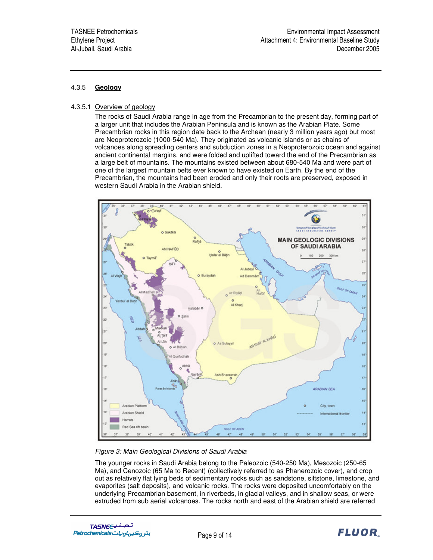## 4.3.5 **Geology**

## 4.3.5.1 Overview of geology

The rocks of Saudi Arabia range in age from the Precambrian to the present day, forming part of a larger unit that includes the Arabian Peninsula and is known as the Arabian Plate. Some Precambrian rocks in this region date back to the Archean (nearly 3 million years ago) but most are Neoproterozoic (1000-540 Ma). They originated as volcanic islands or as chains of volcanoes along spreading centers and subduction zones in a Neoproterozoic ocean and against ancient continental margins, and were folded and uplifted toward the end of the Precambrian as a large belt of mountains. The mountains existed between about 680-540 Ma and were part of one of the largest mountain belts ever known to have existed on Earth. By the end of the Precambrian, the mountains had been eroded and only their roots are preserved, exposed in western Saudi Arabia in the Arabian shield.



## *Figure 3: Main Geological Divisions of Saudi Arabia*

The younger rocks in Saudi Arabia belong to the Paleozoic (540-250 Ma), Mesozoic (250-65 Ma), and Cenozoic (65 Ma to Recent) (collectively referred to as Phanerozoic cover), and crop out as relatively flat lying beds of sedimentary rocks such as sandstone, siltstone, limestone, and evaporites (salt deposits), and volcanic rocks. The rocks were deposited uncomfortably on the underlying Precambrian basement, in riverbeds, in glacial valleys, and in shallow seas, or were extruded from sub aerial volcanoes. The rocks north and east of the Arabian shield are referred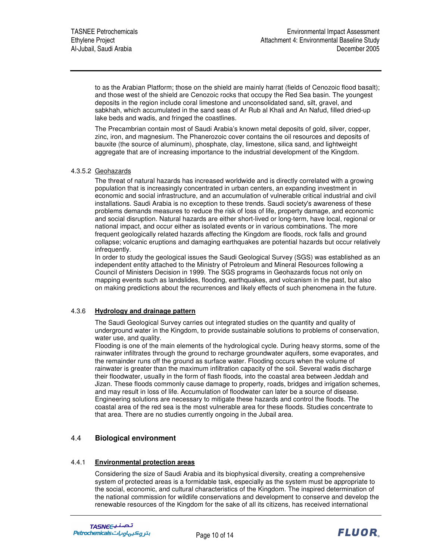to as the Arabian Platform; those on the shield are mainly harrat (fields of Cenozoic flood basalt); and those west of the shield are Cenozoic rocks that occupy the Red Sea basin. The youngest deposits in the region include coral limestone and unconsolidated sand, silt, gravel, and sabkhah, which accumulated in the sand seas of Ar Rub al Khali and An Nafud, filled dried-up lake beds and wadis, and fringed the coastlines.

The Precambrian contain most of Saudi Arabia's known metal deposits of gold, silver, copper, zinc, iron, and magnesium. The Phanerozoic cover contains the oil resources and deposits of bauxite (the source of aluminum), phosphate, clay, limestone, silica sand, and lightweight aggregate that are of increasing importance to the industrial development of the Kingdom.

## 4.3.5.2 Geohazards

The threat of natural hazards has increased worldwide and is directly correlated with a growing population that is increasingly concentrated in urban centers, an expanding investment in economic and social infrastructure, and an accumulation of vulnerable critical industrial and civil installations. Saudi Arabia is no exception to these trends. Saudi society's awareness of these problems demands measures to reduce the risk of loss of life, property damage, and economic and social disruption. Natural hazards are either short-lived or long-term, have local, regional or national impact, and occur either as isolated events or in various combinations. The more frequent geologically related hazards affecting the Kingdom are floods, rock falls and ground collapse; volcanic eruptions and damaging earthquakes are potential hazards but occur relatively infrequently.

In order to study the geological issues the Saudi Geological Survey (SGS) was established as an independent entity attached to the Ministry of Petroleum and Mineral Resources following a Council of Ministers Decision in 1999. The SGS programs in Geohazards focus not only on mapping events such as landslides, flooding, earthquakes, and volcanism in the past, but also on making predictions about the recurrences and likely effects of such phenomena in the future.

## 4.3.6 **Hydrology and drainage pattern**

The Saudi Geological Survey carries out integrated studies on the quantity and quality of underground water in the Kingdom, to provide sustainable solutions to problems of conservation, water use, and quality.

Flooding is one of the main elements of the hydrological cycle. During heavy storms, some of the rainwater infiltrates through the ground to recharge groundwater aquifers, some evaporates, and the remainder runs off the ground as surface water. Flooding occurs when the volume of rainwater is greater than the maximum infiltration capacity of the soil. Several wadis discharge their floodwater, usually in the form of flash floods, into the coastal area between Jeddah and Jizan. These floods commonly cause damage to property, roads, bridges and irrigation schemes, and may result in loss of life. Accumulation of floodwater can later be a source of disease. Engineering solutions are necessary to mitigate these hazards and control the floods. The coastal area of the red sea is the most vulnerable area for these floods. Studies concentrate to that area. There are no studies currently ongoing in the Jubail area.

## 4.4 **Biological environment**

## 4.4.1 **Environmental protection areas**

Considering the size of Saudi Arabia and its biophysical diversity, creating a comprehensive system of protected areas is a formidable task, especially as the system must be appropriate to the social, economic, and cultural characteristics of the Kingdom. The inspired determination of the national commission for wildlife conservations and development to conserve and develop the renewable resources of the Kingdom for the sake of all its citizens, has received international

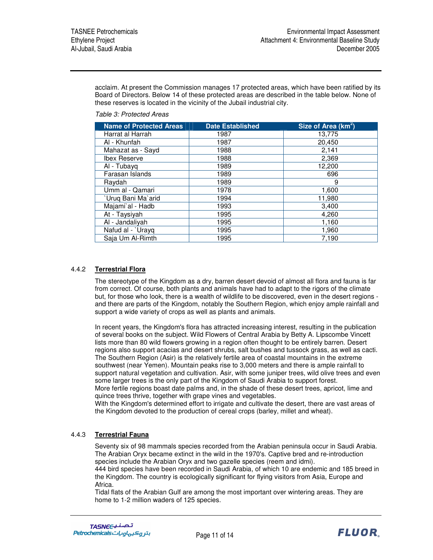acclaim. At present the Commission manages 17 protected areas, which have been ratified by its Board of Directors. Below 14 of these protected areas are described in the table below. None of these reserves is located in the vicinity of the Jubail industrial city.

*Table 3: Protected Areas*

| <b>Name of Protected Areas</b> | <b>Date Established</b> | Size of Area (km <sup>2</sup> ) |
|--------------------------------|-------------------------|---------------------------------|
| Harrat al Harrah               | 1987                    | 13,775                          |
| Al - Khunfah                   | 1987                    | 20,450                          |
| Mahazat as - Sayd              | 1988                    | 2,141                           |
| <b>Ibex Reserve</b>            | 1988                    | 2,369                           |
| Al - Tubayg                    | 1989                    | 12,200                          |
| Farasan Islands                | 1989                    | 696                             |
| Raydah                         | 1989                    | 9                               |
| Umm al - Qamari                | 1978                    | 1,600                           |
| Uruq Bani Ma`arid              | 1994                    | 11,980                          |
| Majami'al - Hadb               | 1993                    | 3,400                           |
| At - Taysiyah                  | 1995                    | 4,260                           |
| Al - Jandaliyah                | 1995                    | 1,160                           |
| Nafud al - `Urayq              | 1995                    | 1,960                           |
| Saja Um Al-Rimth               | 1995                    | 7,190                           |

## 4.4.2 **Terrestrial Flora**

The stereotype of the Kingdom as a dry, barren desert devoid of almost all flora and fauna is far from correct. Of course, both plants and animals have had to adapt to the rigors of the climate but, for those who look, there is a wealth of wildlife to be discovered, even in the desert regions and there are parts of the Kingdom, notably the Southern Region, which enjoy ample rainfall and support a wide variety of crops as well as plants and animals.

In recent years, the Kingdom's flora has attracted increasing interest, resulting in the publication of several books on the subject. Wild Flowers of Central Arabia by Betty A. Lipscombe Vincett lists more than 80 wild flowers growing in a region often thought to be entirely barren. Desert regions also support acacias and desert shrubs, salt bushes and tussock grass, as well as cacti. The Southern Region (Asir) is the relatively fertile area of coastal mountains in the extreme southwest (near Yemen). Mountain peaks rise to 3,000 meters and there is ample rainfall to support natural vegetation and cultivation. Asir, with some juniper trees, wild olive trees and even some larger trees is the only part of the Kingdom of Saudi Arabia to support forest.

More fertile regions boast date palms and, in the shade of these desert trees, apricot, lime and quince trees thrive, together with grape vines and vegetables.

With the Kingdom's determined effort to irrigate and cultivate the desert, there are vast areas of the Kingdom devoted to the production of cereal crops (barley, millet and wheat).

## 4.4.3 **Terrestrial Fauna**

Seventy six of 98 mammals species recorded from the Arabian peninsula occur in Saudi Arabia. The Arabian Oryx became extinct in the wild in the 1970's. Captive bred and re-introduction species include the Arabian Oryx and two gazelle species (reem and idmi).

444 bird species have been recorded in Saudi Arabia, of which 10 are endemic and 185 breed in the Kingdom. The country is ecologically significant for flying visitors from Asia, Europe and Africa.

Tidal flats of the Arabian Gulf are among the most important over wintering areas. They are home to 1-2 million waders of 125 species.

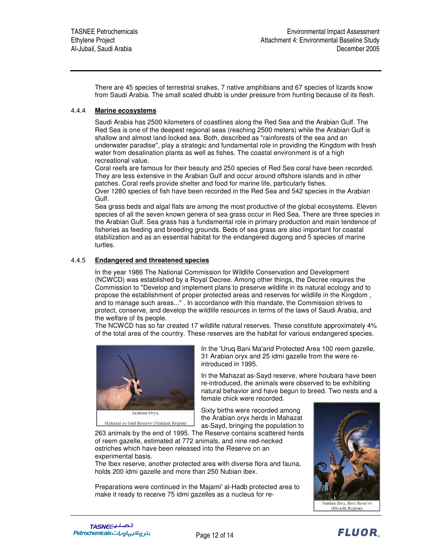There are 45 species of terrestrial snakes, 7 native amphibians and 67 species of lizards know from Saudi Arabia. The small scaled dhubb is under pressure from hunting because of its flesh.

### 4.4.4 **Marine ecosystems**

Saudi Arabia has 2500 kilometers of coastlines along the Red Sea and the Arabian Gulf. The Red Sea is one of the deepest regional seas (reaching 2500 meters) while the Arabian Gulf is shallow and almost land-locked sea. Both, described as "rainforests of the sea and an underwater paradise", play a strategic and fundamental role in providing the Kingdom with fresh water from desalination plants as well as fishes. The coastal environment is of a high recreational value.

Coral reefs are famous for their beauty and 250 species of Red Sea coral have been recorded. They are less extensive in the Arabian Gulf and occur around offshore islands and in other patches. Coral reefs provide shelter and food for marine life, particularly fishes.

Over 1280 species of fish have been recorded in the Red Sea and 542 species in the Arabian Gulf.

Sea grass beds and algal flats are among the most productive of the global ecosystems. Eleven species of all the seven known genera of sea grass occur in Red Sea. There are three species in the Arabian Gulf. Sea grass has a fundamental role in primary production and main tendence of fisheries as feeding and breeding grounds. Beds of sea grass are also important for coastal stabilization and as an essential habitat for the endangered dugong and 5 species of marine turtles.

### 4.4.5 **Endangered and threatened species**

In the year 1986 The National Commission for Wildlife Conservation and Development (NCWCD) was established by a Royal Decree. Among other things, the Decree requires the Commission to "Develop and implement plans to preserve wildlife in its natural ecology and to propose the establishment of proper protected areas and reserves for wildlife in the Kingdom , and to manage such areas..." . In accordance with this mandate, the Commission strives to protect, conserve, and develop the wildlife resources in terms of the laws of Saudi Arabia, and the welfare of its people.

The NCWCD has so far created 17 wildlife natural reserves. These constitute approximately 4% of the total area of the country. These reserves are the habitat for various endangered species.



Mahazat as-Said Reserve (Makkah Region)

In the 'Uruq Bani Ma'arid Protected Area 100 reem gazelle, 31 Arabian oryx and 25 idmi gazelle from the were reintroduced in 1995.

In the Mahazat as-Sayd reserve, where houbara have been re-introduced, the animals were observed to be exhibiting natural behavior and have begun to breed. Two nests and a female chick were recorded.

Sixty births were recorded among the Arabian oryx herds in Mahazat as-Sayd, bringing the population to

263 animals by the end of 1995. The Reserve contains scattered herds of reem gazelle, estimated at 772 animals, and nine red-necked ostriches which have been released into the Reserve on an experimental basis.

The Ibex reserve, another protected area with diverse flora and fauna, holds 200 idmi gazelle and more than 250 Nubian ibex.

Preparations were continued in the Majami' al-Hadb protected area to make it ready to receive 75 idmi gazelles as a nucleus for re-

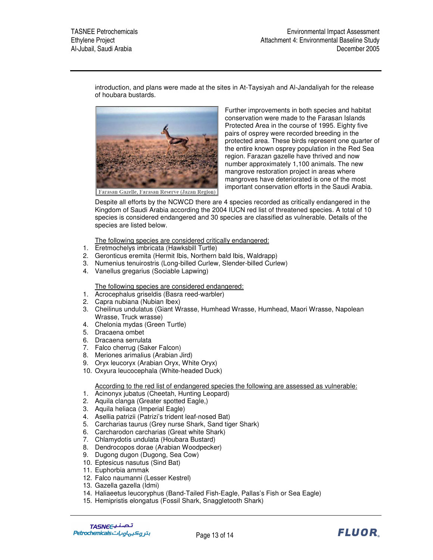introduction, and plans were made at the sites in At-Taysiyah and Al-Jandaliyah for the release of houbara bustards.



Further improvements in both species and habitat conservation were made to the Farasan Islands Protected Area in the course of 1995. Eighty five pairs of osprey were recorded breeding in the protected area. These birds represent one quarter of the entire known osprey population in the Red Sea region. Farazan gazelle have thrived and now number approximately 1,100 animals. The new mangrove restoration project in areas where mangroves have deteriorated is one of the most important conservation efforts in the Saudi Arabia.

Despite all efforts by the NCWCD there are 4 species recorded as critically endangered in the Kingdom of Saudi Arabia according the 2004 IUCN red list of threatened species. A total of 10 species is considered endangered and 30 species are classified as vulnerable. Details of the species are listed below.

The following species are considered critically endangered:

- 1. Eretmochelys imbricata (Hawksbill Turtle)
- 2. Geronticus eremita (Hermit Ibis, Northern bald Ibis, Waldrapp)
- 3. Numenius tenuirostris (Long-billed Curlew, Slender-billed Curlew)
- 4. Vanellus gregarius (Sociable Lapwing)

The following species are considered endangered:

- 1. Acrocephalus griseldis (Basra reed-warbler)
- 2. Capra nubiana (Nubian Ibex)
- 3. Cheilinus undulatus (Giant Wrasse, Humhead Wrasse, Humhead, Maori Wrasse, Napolean Wrasse, Truck wrasse)
- 4. Chelonia mydas (Green Turtle)
- 5. Dracaena ombet
- 6. Dracaena serrulata
- 7. Falco cherrug (Saker Falcon)
- 8. Meriones arimalius (Arabian Jird)
- 9. Oryx leucoryx (Arabian Oryx, White Oryx)
- 10. Oxyura leucocephala (White-headed Duck)

According to the red list of endangered species the following are assessed as vulnerable:

- 1. Acinonyx jubatus (Cheetah, Hunting Leopard)
- 2. Aquila clanga (Greater spotted Eagle,)
- 3. Aquila heliaca (Imperial Eagle)
- 4. Asellia patrizii (Patrizi's trident leaf-nosed Bat)
- 5. Carcharias taurus (Grey nurse Shark, Sand tiger Shark)
- 6. Carcharodon carcharias (Great white Shark)
- 7. Chlamydotis undulata (Houbara Bustard)
- 8. Dendrocopos dorae (Arabian Woodpecker)
- 9. Dugong dugon (Dugong, Sea Cow)
- 10. Eptesicus nasutus (Sind Bat)
- 11. Euphorbia ammak
- 12. Falco naumanni (Lesser Kestrel)
- 13. Gazella gazella (Idmi)
- 14. Haliaeetus leucoryphus (Band-Tailed Fish-Eagle, Pallas's Fish or Sea Eagle)
- 15. Hemipristis elongatus (Fossil Shark, Snaggletooth Shark)